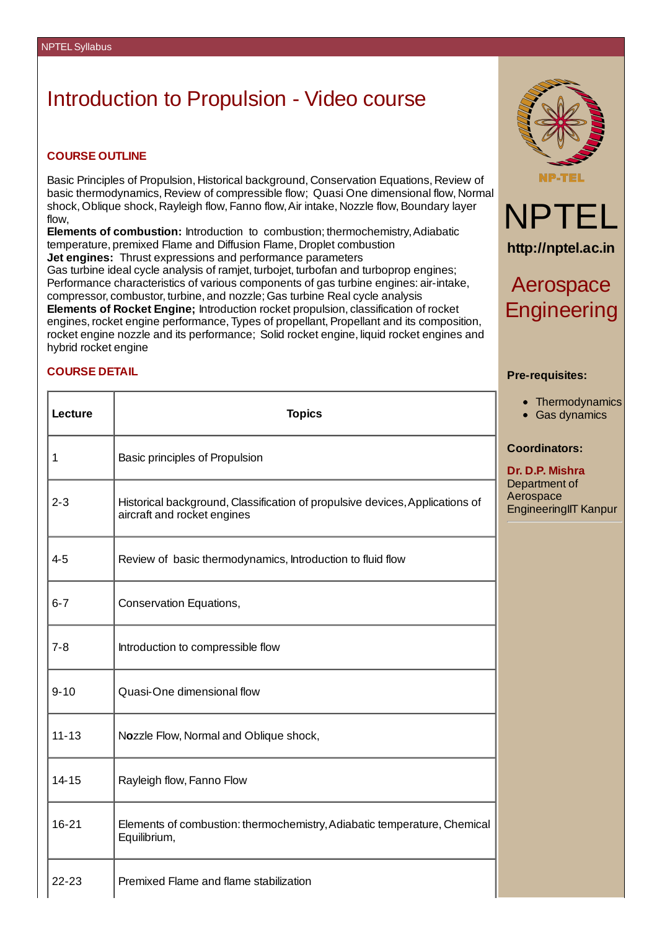## Introduction to Propulsion - Video course

## **COURSE OUTLINE**

Basic Principles of Propulsion, Historical background, Conservation Equations, Review of basic thermodynamics, Review of compressible flow; Quasi One dimensional flow, Normal shock, Oblique shock, Rayleigh flow, Fanno flow, Air intake, Nozzle flow, Boundary layer flow,

**Elements of combustion:** Introduction to combustion; thermochemistry,Adiabatic temperature, premixed Flame and Diffusion Flame, Droplet combustion **Jet engines:** Thrust expressions and performance parameters Gas turbine ideal cycle analysis of ramjet, turbojet, turbofan and turboprop engines; Performance characteristics of various components of gas turbine engines: air-intake, compressor, combustor, turbine, and nozzle; Gas turbine Real cycle analysis **Elements of Rocket Engine;** Introduction rocket propulsion, classification of rocket engines, rocket engine performance, Types of propellant, Propellant and its composition, rocket engine nozzle and its performance; Solid rocket engine, liquid rocket engines and hybrid rocket engine





**http://nptel.ac.in**

## Aerospace **Engineering**

**Thermodynamics** Gas dynamics

neeringIIT Kanpur

**Pre-requisites:**

**Coordinators: Dr. D.P. Mishra**

## **COURSE DETAIL**

| Lecture   | <b>Topics</b>                                                                                               | Thermod<br>Gas dyn                           |
|-----------|-------------------------------------------------------------------------------------------------------------|----------------------------------------------|
| 1         | Basic principles of Propulsion                                                                              | <b>Coordinators</b><br>Dr. D.P. Mishr        |
| $2 - 3$   | Historical background, Classification of propulsive devices, Applications of<br>aircraft and rocket engines | Department of<br>Aerospace<br>EngineeringIIT |
| $4 - 5$   | Review of basic thermodynamics, Introduction to fluid flow                                                  |                                              |
| $6 - 7$   | Conservation Equations,                                                                                     |                                              |
| $7 - 8$   | Introduction to compressible flow                                                                           |                                              |
| $9 - 10$  | Quasi-One dimensional flow                                                                                  |                                              |
| $11 - 13$ | Nozzle Flow, Normal and Oblique shock,                                                                      |                                              |
| 14-15     | Rayleigh flow, Fanno Flow                                                                                   |                                              |
| 16-21     | Elements of combustion: thermochemistry, Adiabatic temperature, Chemical<br>Equilibrium,                    |                                              |
| 22-23     | Premixed Flame and flame stabilization                                                                      |                                              |